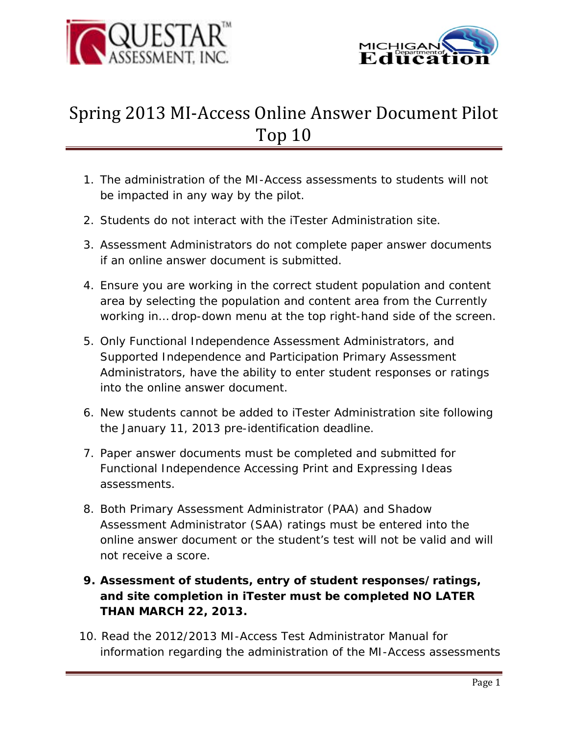



## Spring 2013 MI-Access Online Answer Document Pilot Top 10

- 1. The administration of the MI-Access assessments to students will not be impacted in any way by the pilot.
- 2. Students do not interact with the iTester Administration site.
- 3. Assessment Administrators do not complete paper answer documents if an online answer document is submitted.
- 4. Ensure you are working in the correct student population and content area by selecting the population and content area from the *Currently working in…* drop-down menu at the top right-hand side of the screen.
- 5. Only Functional Independence Assessment Administrators, and Supported Independence and Participation Primary Assessment Administrators, have the ability to enter student responses or ratings into the online answer document.
- 6. New students cannot be added to iTester Administration site following the January 11, 2013 pre-identification deadline.
- 7. Paper answer documents must be completed and submitted for Functional Independence Accessing Print and Expressing Ideas assessments.
- 8. Both Primary Assessment Administrator (PAA) and Shadow Assessment Administrator (SAA) ratings must be entered into the online answer document or the student's test will not be valid and will not receive a score.
- **9. Assessment of students, entry of student responses/ratings, and site completion in iTester must be completed NO LATER THAN MARCH 22, 2013.**
- 10. Read the *2012/2013 MI-Access Test Administrator* Manual for information regarding the administration of the MI-Access assessments